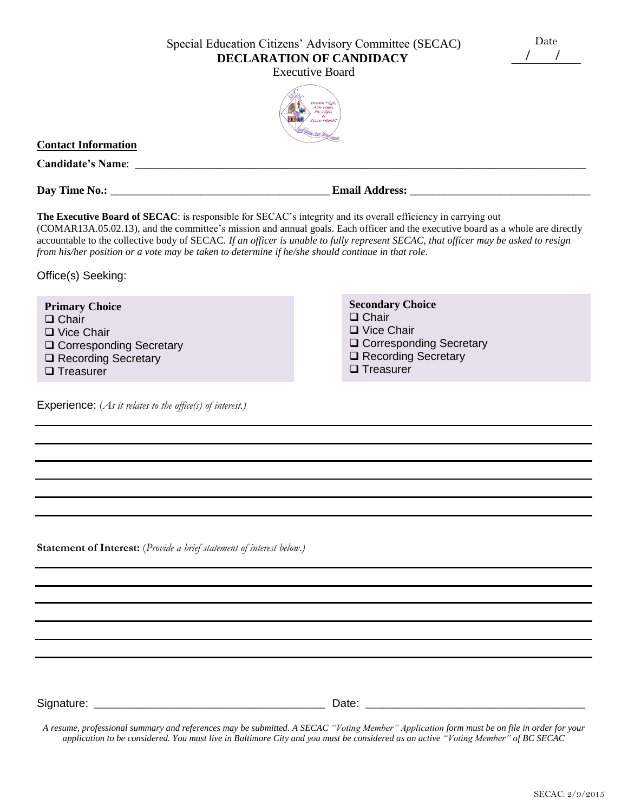Special Education Citizens' Advisory Committee (SECAC) **DECLARATION OF CANDIDACY**

Executive Board



## **Contact Information**

**Candidate's Name**: \_\_\_\_\_\_\_\_\_\_\_\_\_\_\_\_\_\_\_\_\_\_\_\_\_\_\_\_\_\_\_\_\_\_\_\_\_\_\_\_\_\_\_\_\_\_\_\_\_\_\_\_\_\_\_\_\_\_\_\_\_\_\_\_\_\_\_\_\_\_\_\_\_\_\_\_\_\_\_\_

**Day Time No.:** \_\_\_\_\_\_\_\_\_\_\_\_\_\_\_\_\_\_\_\_\_\_\_\_\_\_\_\_\_\_\_\_\_\_\_\_\_\_\_ **Email Address:** \_\_\_\_\_\_\_\_\_\_\_\_\_\_\_\_\_\_\_\_\_\_\_\_\_\_\_\_\_\_\_\_

**The Executive Board of SECAC**: is responsible for SECAC's integrity and its overall efficiency in carrying out (COMAR13A.05.02.13), and the committee's mission and annual goals. Each officer and the executive board as a whole are directly accountable to the collective body of SECAC. *If an officer is unable to fully represent SECAC, that officer may be asked to resign from his/her position or a vote may be taken to determine if he/she should continue in that role.*

Office(s) Seeking:

| <b>Primary Choice</b>            | <b>Secondary Choice</b>          |
|----------------------------------|----------------------------------|
| $\Box$ Chair                     | $\Box$ Chair                     |
| $\Box$ Vice Chair                | $\Box$ Vice Chair                |
| <b>Q</b> Corresponding Secretary | <b>Q</b> Corresponding Secretary |
| □ Recording Secretary            | □ Recording Secretary            |
| $\Box$ Treasurer                 | $\Box$ Treasurer                 |

Experience: (*As it relates to the office(s) of interest.)*

**Statement of Interest:** (*Provide a brief statement of interest below.)*

Signature: \_\_\_\_\_\_\_\_\_\_\_\_\_\_\_\_\_\_\_\_\_\_\_\_\_\_\_\_\_\_\_\_\_\_\_\_\_\_\_\_\_ Date: \_\_\_\_\_\_\_\_\_\_\_\_\_\_\_\_\_\_\_\_\_\_\_\_\_\_\_\_\_\_\_\_\_\_\_\_\_\_\_

*A resume, professional summary and references may be submitted. A SECAC "Voting Member" Application form must be on file in order for your application to be considered. You must live in Baltimore City and you must be considered as an active "Voting Member" of BC SECAC*

Date / /